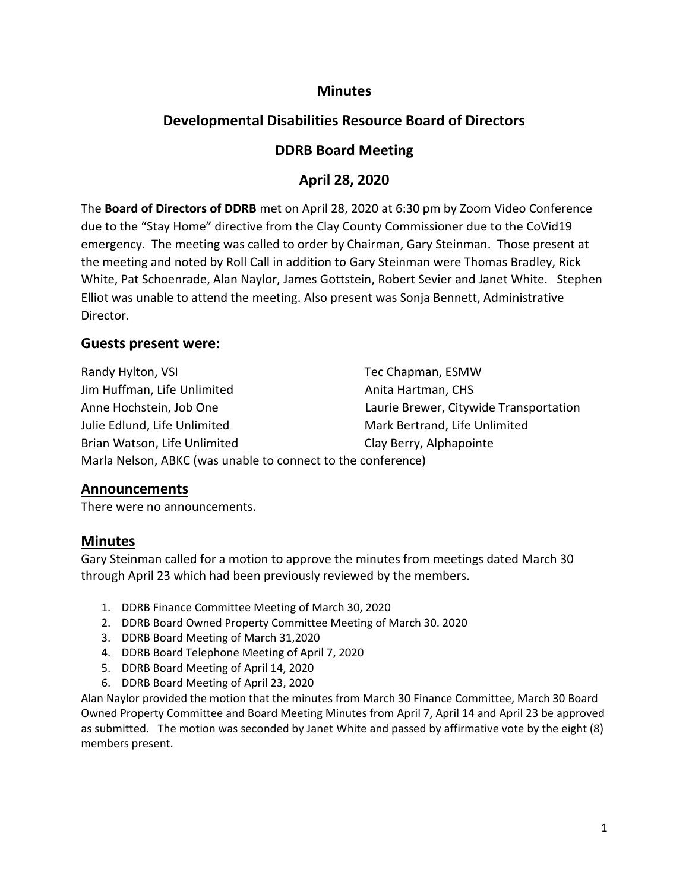## **Minutes**

# **Developmental Disabilities Resource Board of Directors**

## **DDRB Board Meeting**

## **April 28, 2020**

The **Board of Directors of DDRB** met on April 28, 2020 at 6:30 pm by Zoom Video Conference due to the "Stay Home" directive from the Clay County Commissioner due to the CoVid19 emergency. The meeting was called to order by Chairman, Gary Steinman. Those present at the meeting and noted by Roll Call in addition to Gary Steinman were Thomas Bradley, Rick White, Pat Schoenrade, Alan Naylor, James Gottstein, Robert Sevier and Janet White. Stephen Elliot was unable to attend the meeting. Also present was Sonja Bennett, Administrative Director.

## **Guests present were:**

Randy Hylton, VSI Tec Chapman, ESMW Jim Huffman, Life Unlimited Anita Hartman, CHS Anne Hochstein, Job One Laurie Brewer, Citywide Transportation Julie Edlund, Life Unlimited Mark Bertrand, Life Unlimited Brian Watson, Life Unlimited Clay Berry, Alphapointe Marla Nelson, ABKC (was unable to connect to the conference)

### **Announcements**

There were no announcements.

## **Minutes**

Gary Steinman called for a motion to approve the minutes from meetings dated March 30 through April 23 which had been previously reviewed by the members.

- 1. DDRB Finance Committee Meeting of March 30, 2020
- 2. DDRB Board Owned Property Committee Meeting of March 30. 2020
- 3. DDRB Board Meeting of March 31,2020
- 4. DDRB Board Telephone Meeting of April 7, 2020
- 5. DDRB Board Meeting of April 14, 2020
- 6. DDRB Board Meeting of April 23, 2020

Alan Naylor provided the motion that the minutes from March 30 Finance Committee, March 30 Board Owned Property Committee and Board Meeting Minutes from April 7, April 14 and April 23 be approved as submitted. The motion was seconded by Janet White and passed by affirmative vote by the eight (8) members present.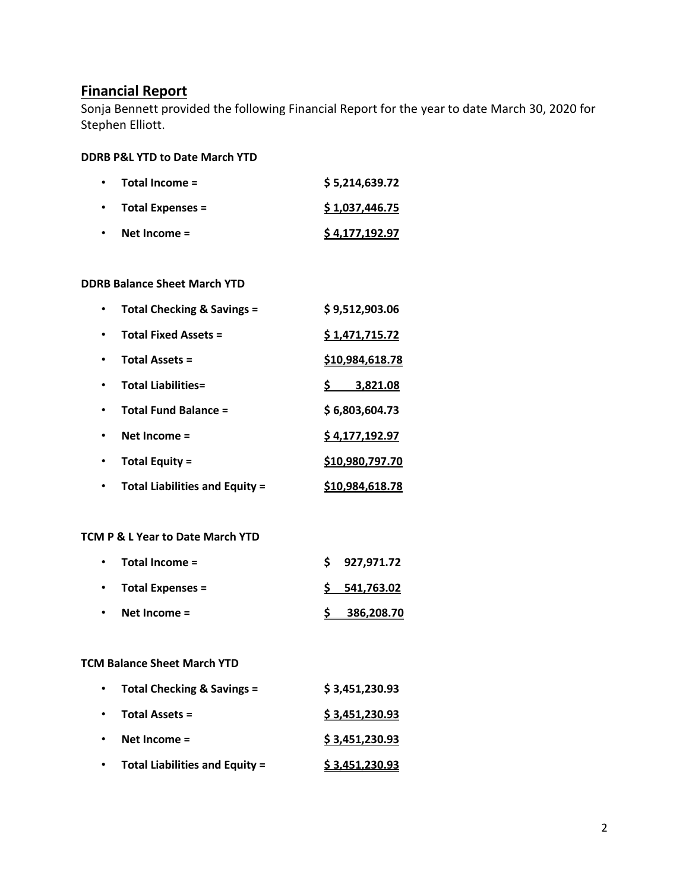## **Financial Report**

Sonja Bennett provided the following Financial Report for the year to date March 30, 2020 for Stephen Elliott.

#### **DDRB P&L YTD to Date March YTD**

| $\bullet$ | Total Income =          | \$5,214,639.72 |
|-----------|-------------------------|----------------|
| $\bullet$ | <b>Total Expenses =</b> | \$1,037,446.75 |
| $\bullet$ | Net Income $=$          | \$4,177,192.97 |

#### **DDRB Balance Sheet March YTD**

| Total Checking & Savings =            | \$9,512,903.06  |
|---------------------------------------|-----------------|
| <b>Total Fixed Assets =</b>           | \$1,471,715.72  |
| <b>Total Assets =</b>                 | \$10,984,618.78 |
| <b>Total Liabilities=</b>             | 3,821.08<br>Ş.  |
| <b>Total Fund Balance =</b>           | \$6,803,604.73  |
| Net Income =                          | \$4,177,192.97  |
| Total Equity =                        | \$10,980,797.70 |
| <b>Total Liabilities and Equity =</b> | \$10,984,618.78 |

#### **TCM P & L Year to Date March YTD**

| $\bullet$ | Net Income $=$       | 386,208.70   |
|-----------|----------------------|--------------|
|           | • Total Expenses $=$ | \$541,763.02 |
| $\bullet$ | Total Income =       | \$927,971.72 |

#### **TCM Balance Sheet March YTD**

| $\bullet$ | Total Checking & Savings =            | \$3,451,230.93 |
|-----------|---------------------------------------|----------------|
| $\bullet$ | <b>Total Assets =</b>                 | \$3,451,230.93 |
| $\bullet$ | Net Income $=$                        | \$3,451,230.93 |
|           | <b>Total Liabilities and Equity =</b> | \$3,451,230.93 |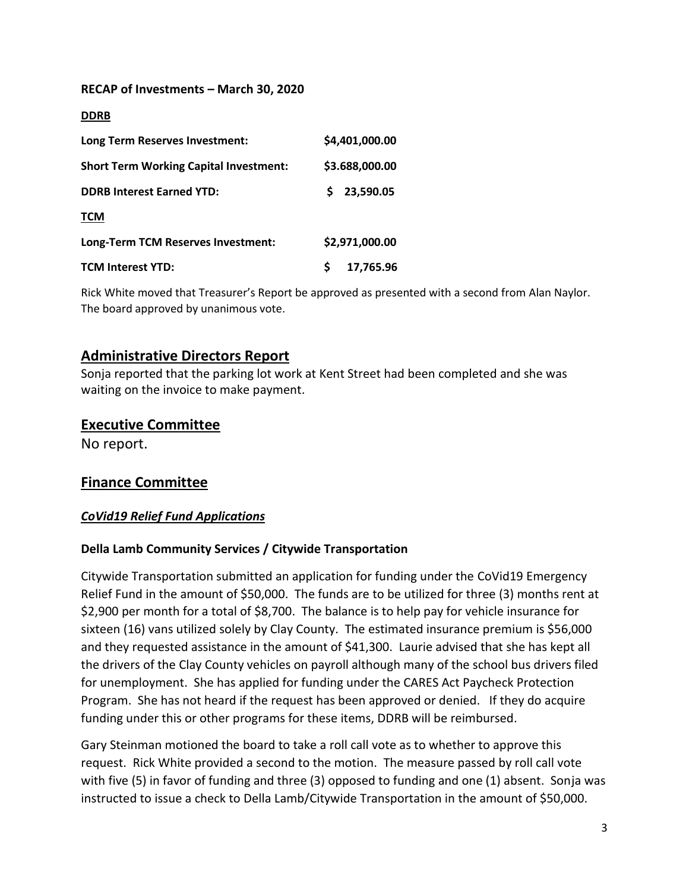#### **RECAP of Investments – March 30, 2020**

| Long Term Reserves Investment:                | \$4,401,000.00  |
|-----------------------------------------------|-----------------|
| <b>Short Term Working Capital Investment:</b> | \$3.688,000.00  |
| <b>DDRB Interest Earned YTD:</b>              | 23,590.05<br>S. |
| <b>TCM</b>                                    |                 |
| Long-Term TCM Reserves Investment:            | \$2,971,000.00  |
| <b>TCM Interest YTD:</b>                      | 17,765.96       |

Rick White moved that Treasurer's Report be approved as presented with a second from Alan Naylor. The board approved by unanimous vote.

## **Administrative Directors Report**

Sonja reported that the parking lot work at Kent Street had been completed and she was waiting on the invoice to make payment.

#### **Executive Committee**

No report.

## **Finance Committee**

#### *CoVid19 Relief Fund Applications*

#### **Della Lamb Community Services / Citywide Transportation**

Citywide Transportation submitted an application for funding under the CoVid19 Emergency Relief Fund in the amount of \$50,000. The funds are to be utilized for three (3) months rent at \$2,900 per month for a total of \$8,700. The balance is to help pay for vehicle insurance for sixteen (16) vans utilized solely by Clay County. The estimated insurance premium is \$56,000 and they requested assistance in the amount of \$41,300. Laurie advised that she has kept all the drivers of the Clay County vehicles on payroll although many of the school bus drivers filed for unemployment. She has applied for funding under the CARES Act Paycheck Protection Program. She has not heard if the request has been approved or denied. If they do acquire funding under this or other programs for these items, DDRB will be reimbursed.

Gary Steinman motioned the board to take a roll call vote as to whether to approve this request. Rick White provided a second to the motion. The measure passed by roll call vote with five (5) in favor of funding and three (3) opposed to funding and one (1) absent. Sonja was instructed to issue a check to Della Lamb/Citywide Transportation in the amount of \$50,000.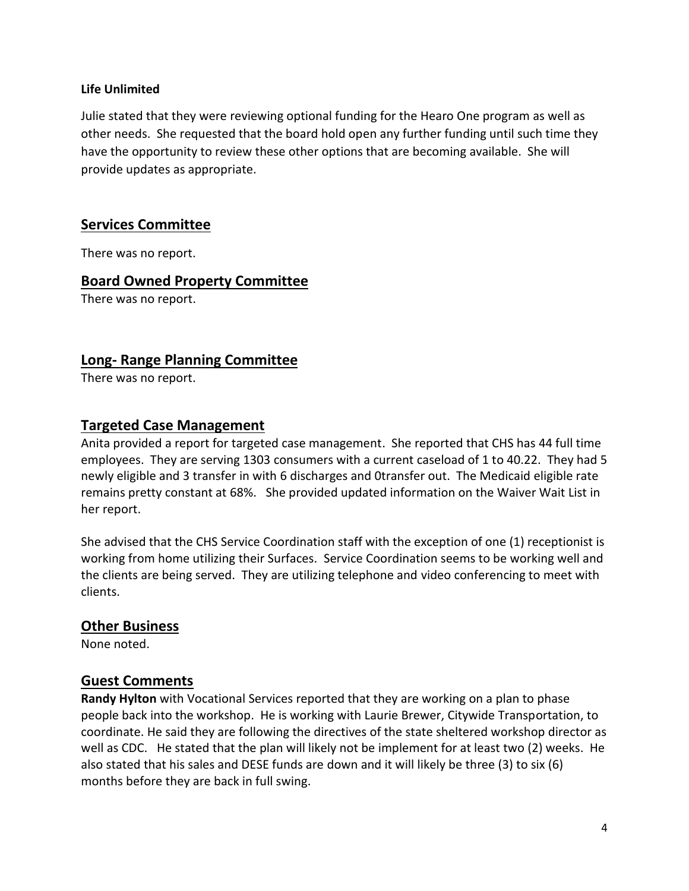#### **Life Unlimited**

Julie stated that they were reviewing optional funding for the Hearo One program as well as other needs. She requested that the board hold open any further funding until such time they have the opportunity to review these other options that are becoming available. She will provide updates as appropriate.

## **Services Committee**

There was no report.

### **Board Owned Property Committee**

There was no report.

## **Long- Range Planning Committee**

There was no report.

### **Targeted Case Management**

Anita provided a report for targeted case management. She reported that CHS has 44 full time employees. They are serving 1303 consumers with a current caseload of 1 to 40.22. They had 5 newly eligible and 3 transfer in with 6 discharges and 0transfer out. The Medicaid eligible rate remains pretty constant at 68%. She provided updated information on the Waiver Wait List in her report.

She advised that the CHS Service Coordination staff with the exception of one (1) receptionist is working from home utilizing their Surfaces. Service Coordination seems to be working well and the clients are being served. They are utilizing telephone and video conferencing to meet with clients.

### **Other Business**

None noted.

### **Guest Comments**

**Randy Hylton** with Vocational Services reported that they are working on a plan to phase people back into the workshop. He is working with Laurie Brewer, Citywide Transportation, to coordinate. He said they are following the directives of the state sheltered workshop director as well as CDC. He stated that the plan will likely not be implement for at least two (2) weeks. He also stated that his sales and DESE funds are down and it will likely be three (3) to six (6) months before they are back in full swing.